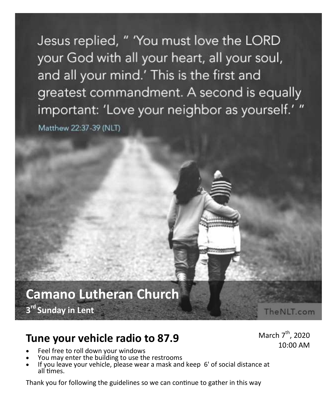Jesus replied, " 'You must love the LORD your God with all your heart, all your soul, and all your mind.' This is the first and greatest commandment. A second is equally important: 'Love your neighbor as yourself.' "

Matthew 22:37-39 (NLT)

# **Camano Lutheran Church 3 rd Sunday in Lent**

March  $7<sup>th</sup>$ , 2020

The NLT.com

10:00 AM

# **Tune your vehicle radio to 87.9**

- Feel free to roll down your windows
- You may enter the building to use the restrooms
- If you leave your vehicle, please wear a mask and keep 6' of social distance at all times.

Thank you for following the guidelines so we can continue to gather in this way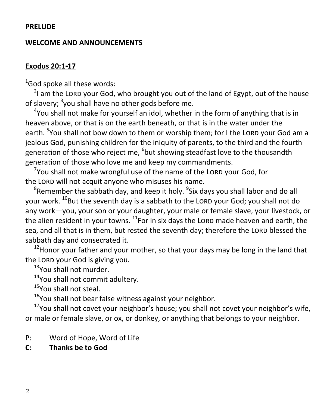#### **PRELUDE**

#### **WELCOME AND ANNOUNCEMENTS**

#### **Exodus 20:1-17**

 $1$ God spoke all these words:

 $2$ I am the LORD your God, who brought you out of the land of Egypt, out of the house of slavery; <sup>3</sup>you shall have no other gods before me.

<sup>4</sup>You shall not make for yourself an idol, whether in the form of anything that is in heaven above, or that is on the earth beneath, or that is in the water under the earth. <sup>5</sup>You shall not bow down to them or worship them; for I the LORD your God am a jealous God, punishing children for the iniquity of parents, to the third and the fourth generation of those who reject me, <sup>6</sup>but showing steadfast love to the thousandth generation of those who love me and keep my commandments.

 $\sigma$ You shall not make wrongful use of the name of the LORD your God, for the LORD will not acquit anyone who misuses his name.

 ${}^{8}$ Remember the sabbath day, and keep it holy.  ${}^{9}$ Six days you shall labor and do all your work. <sup>10</sup>But the seventh day is a sabbath to the LORD your God; you shall not do any work—you, your son or your daughter, your male or female slave, your livestock, or the alien resident in your towns.  $^{11}$  For in six days the LORD made heaven and earth, the sea, and all that is in them, but rested the seventh day; therefore the LORD blessed the sabbath day and consecrated it.

 $12$ Honor your father and your mother, so that your days may be long in the land that the LORD your God is giving you.

<sup>13</sup>You shall not murder.

<sup>14</sup>You shall not commit adultery.

<sup>15</sup>You shall not steal.

 $16$ You shall not bear false witness against your neighbor.

 $17$ You shall not covet your neighbor's house; you shall not covet your neighbor's wife, or male or female slave, or ox, or donkey, or anything that belongs to your neighbor.

- P: Word of Hope, Word of Life
- **C: Thanks be to God**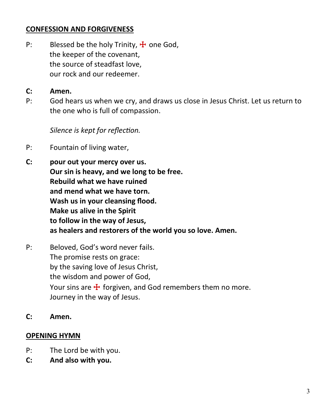#### **CONFESSION AND FORGIVENESS**

P: Blessed be the holy Trinity,  $\frac{1}{2}$  one God, the keeper of the covenant, the source of steadfast love, our rock and our redeemer.

#### **C: Amen.**

P: God hears us when we cry, and draws us close in Jesus Christ. Let us return to the one who is full of compassion.

*Silence is kept for reflection.*

- P: Fountain of living water,
- **C: pour out your mercy over us. Our sin is heavy, and we long to be free. Rebuild what we have ruined and mend what we have torn. Wash us in your cleansing flood. Make us alive in the Spirit to follow in the way of Jesus, as healers and restorers of the world you so love. Amen.**
- P: Beloved, God's word never fails. The promise rests on grace: by the saving love of Jesus Christ, the wisdom and power of God, Your sins are  $\mathbf{\ddot{+}}$  forgiven, and God remembers them no more. Journey in the way of Jesus.
- **C: Amen.**

#### **OPENING HYMN**

- P: The Lord be with you.
- **C: And also with you.**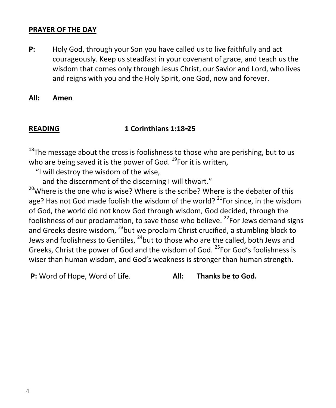#### **PRAYER OF THE DAY**

**P:** Holy God, through your Son you have called us to live faithfully and act courageously. Keep us steadfast in your covenant of grace, and teach us the wisdom that comes only through Jesus Christ, our Savior and Lord, who lives and reigns with you and the Holy Spirit, one God, now and forever.

**All: Amen**

#### **READING 1 Corinthians 1:18-25**

 $18$ The message about the cross is foolishness to those who are perishing, but to us who are being saved it is the power of God.  $^{19}$ For it is written,

"I will destroy the wisdom of the wise,

and the discernment of the discerning I will thwart."

<sup>20</sup>Where is the one who is wise? Where is the scribe? Where is the debater of this age? Has not God made foolish the wisdom of the world?  $21$  For since, in the wisdom of God, the world did not know God through wisdom, God decided, through the foolishness of our proclamation, to save those who believe.  $22$  For Jews demand signs and Greeks desire wisdom,  $^{23}$ but we proclaim Christ crucified, a stumbling block to Jews and foolishness to Gentiles,  $^{24}$ but to those who are the called, both Jews and Greeks, Christ the power of God and the wisdom of God. <sup>25</sup>For God's foolishness is wiser than human wisdom, and God's weakness is stronger than human strength.

**P:** Word of Hope, Word of Life. **All: Thanks be to God.**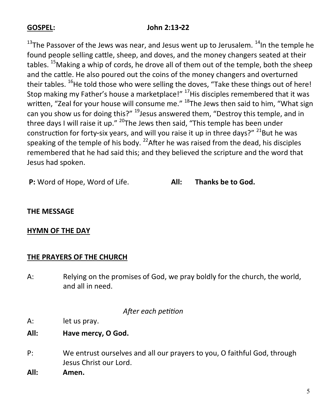### **GOSPEL: John 2:13-22**

 $13$ The Passover of the Jews was near, and Jesus went up to Jerusalem.  $14$ In the temple he found people selling cattle, sheep, and doves, and the money changers seated at their tables. <sup>15</sup>Making a whip of cords, he drove all of them out of the temple, both the sheep and the cattle. He also poured out the coins of the money changers and overturned their tables. <sup>16</sup>He told those who were selling the doves, "Take these things out of here! Stop making my Father's house a marketplace!" <sup>17</sup>His disciples remembered that it was written, "Zeal for your house will consume me." <sup>18</sup>The Jews then said to him, "What sign can you show us for doing this?" <sup>19</sup> Jesus answered them, "Destroy this temple, and in three days I will raise it up." <sup>20</sup>The Jews then said. "This temple has been under construction for forty-six years, and will you raise it up in three days?"  $^{21}$ But he was speaking of the temple of his body.  $^{22}$ After he was raised from the dead, his disciples remembered that he had said this; and they believed the scripture and the word that Jesus had spoken.

**P:** Word of Hope, Word of Life. **All: Thanks be to God.**

#### **THE MESSAGE**

#### **HYMN OF THE DAY**

#### **THE PRAYERS OF THE CHURCH**

A: Relying on the promises of God, we pray boldly for the church, the world, and all in need.

#### *After each petition*

- A: let us pray.
- **All: Have mercy, O God.**
- P: We entrust ourselves and all our prayers to you, O faithful God, through Jesus Christ our Lord.
- **All: Amen.**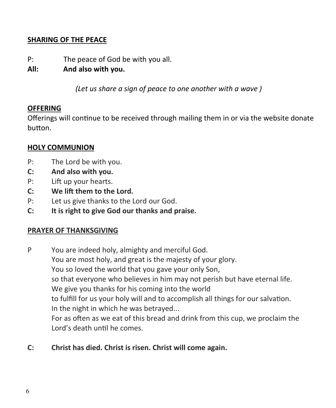### **SHARING OF THE PEACE**

- P: The peace of God be with you all.
- **All: And also with you.**

*(Let us share a sign of peace to one another with a wave )*

#### **OFFERING**

Offerings will continue to be received through mailing them in or via the website donate button.

#### **HOLY COMMUNION**

- P: The Lord be with you.
- **C: And also with you.**
- P: Lift up your hearts.
- **C: We lift them to the Lord.**
- P: Let us give thanks to the Lord our God.
- **C: It is right to give God our thanks and praise.**

#### **PRAYER OF THANKSGIVING**

- P You are indeed holy, almighty and merciful God. You are most holy, and great is the majesty of your glory. You so loved the world that you gave your only Son, so that everyone who believes in him may not perish but have eternal life. We give you thanks for his coming into the world to fulfill for us your holy will and to accomplish all things for our salvation. In the night in which he was betrayed... For as often as we eat of this bread and drink from this cup, we proclaim the Lord's death until he comes.
- **C: Christ has died. Christ is risen. Christ will come again.**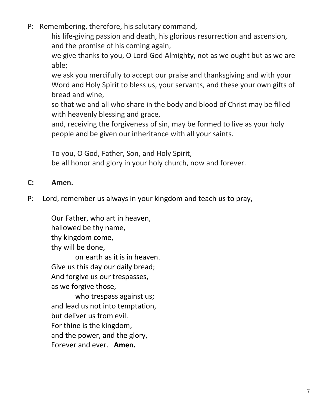P: Remembering, therefore, his salutary command,

his life-giving passion and death, his glorious resurrection and ascension, and the promise of his coming again,

we give thanks to you, O Lord God Almighty, not as we ought but as we are able;

we ask you mercifully to accept our praise and thanksgiving and with your Word and Holy Spirit to bless us, your servants, and these your own gifts of bread and wine,

so that we and all who share in the body and blood of Christ may be filled with heavenly blessing and grace,

and, receiving the forgiveness of sin, may be formed to live as your holy people and be given our inheritance with all your saints.

To you, O God, Father, Son, and Holy Spirit,

be all honor and glory in your holy church, now and forever.

## **C: Amen.**

P: Lord, remember us always in your kingdom and teach us to pray,

Our Father, who art in heaven, hallowed be thy name, thy kingdom come, thy will be done, on earth as it is in heaven. Give us this day our daily bread; And forgive us our trespasses,

as we forgive those,

who trespass against us; and lead us not into temptation, but deliver us from evil. For thine is the kingdom, and the power, and the glory, Forever and ever. **Amen.**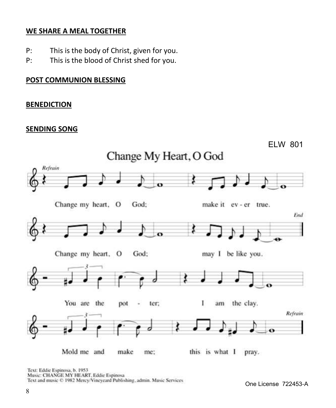#### **WE SHARE A MEAL TOGETHER**

- P: This is the body of Christ, given for you.
- P: This is the blood of Christ shed for you.

#### **POST COMMUNION BLESSING**

#### **BENEDICTION**

#### **SENDING SONG**



Text: Eddie Espinosa, b. 1953 Music: CHANGE MY HEART, Eddie Espinosa Text and music © 1982 Mercy/Vineyeard Publishing, admin. Music Services

One License 722453-A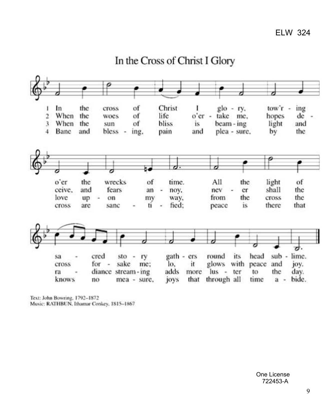

# In the Cross of Christ I Glory

Text: John Bowring, 1792-1872 Music: RATHBUN, Ithamar Conkey, 1815-1867.

> One License 722453-A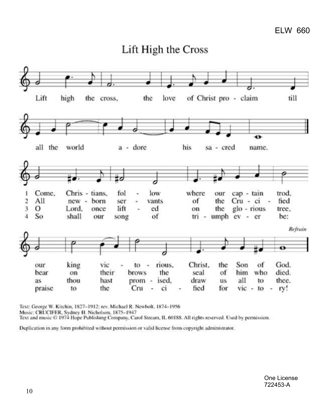



Text: George W. Kitchin, 1827-1912; rev. Michael R. Newbolt, 1874-1956

Music: CRUCIFER, Sydney H. Nicholson, 1875-1947

Text and music © 1974 Hope Publishing Company, Carol Stream, IL 60188. All rights reserved. Used by permission.

Duplication in any form prohibited without permission or valid license from copyright administrator.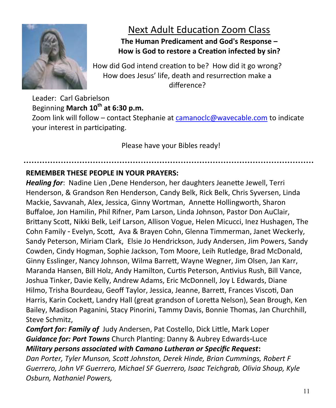

# Next Adult Education Zoom Class

## **The Human Predicament and God's Response – How is God to restore a Creation infected by sin?**

How did God intend creation to be? How did it go wrong? How does Jesus' life, death and resurrection make a difference?

Leader: Carl Gabrielson Beginning **March 10th at 6:30 p.m.** Zoom link will follow – contact Stephanie at [camanoclc@wavecable.com](mailto:camanoclc@wavecable.com) to indicate your interest in participating.

Please have your Bibles ready!

## **REMEMBER THESE PEOPLE IN YOUR PRAYERS:**

*Healing for*: Nadine Lien ,Dene Henderson, her daughters Jeanette Jewell, Terri Henderson, & Grandson Ren Henderson, Candy Belk, Rick Belk, Chris Syversen, Linda Mackie, Savvanah, Alex, Jessica, Ginny Wortman, Annette Hollingworth, Sharon Buffaloe, Jon Hamilin, Phil Rifner, Pam Larson, Linda Johnson, Pastor Don AuClair, Brittany Scott, Nikki Belk, Leif Larson, Allison Vogue, Helen Micucci, Inez Hushagen, The Cohn Family - Evelyn, Scott, Ava & Brayen Cohn, Glenna Timmerman, Janet Weckerly, Sandy Peterson, Miriam Clark, Elsie Jo Hendrickson, Judy Andersen, Jim Powers, Sandy Cowden, Cindy Hogman, Sophie Jackson, Tom Moore, Leih Rutledge, Brad McDonald, Ginny Esslinger, Nancy Johnson, Wilma Barrett, Wayne Wegner, Jim Olsen, Jan Karr, Maranda Hansen, Bill Holz, Andy Hamilton, Curtis Peterson, Antivius Rush, Bill Vance, Joshua Tinker, Davie Kelly, Andrew Adams, Eric McDonnell, Joy L Edwards, Diane Hilmo, Trisha Bourdeau, Geoff Taylor, Jessica, Jeanne, Barrett, Frances Viscoti, Dan Harris, Karin Cockett, Landry Hall (great grandson of Loretta Nelson), Sean Brough, Ken Bailey, Madison Paganini, Stacy Pinorini, Tammy Davis, Bonnie Thomas, Jan Churchhill, Steve Schmitz,

*Comfort for: Family of* Judy Andersen, Pat Costello, Dick Little, Mark Loper *Guidance for: Port Towns* Church Planting: Danny & Aubrey Edwards-Luce *Military persons associated with Camano Lutheran or Specific Request***:** 

*Dan Porter, Tyler Munson, Scott Johnston, Derek Hinde, Brian Cummings, Robert F Guerrero, John VF Guerrero, Michael SF Guerrero, Isaac Teichgrab, Olivia Shoup, Kyle Osburn, Nathaniel Powers,*